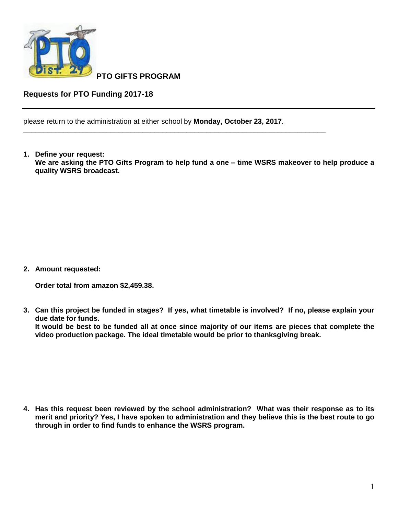

**PTO GIFTS PROGRAM**

**Requests for PTO Funding 2017-18**

please return to the administration at either school by **Monday, October 23, 2017**.

**\_\_\_\_\_\_\_\_\_\_\_\_\_\_\_\_\_\_\_\_\_\_\_\_\_\_\_\_\_\_\_\_\_\_\_\_\_\_\_\_\_\_\_\_\_\_\_\_\_\_\_\_\_\_\_\_\_\_\_\_\_\_\_\_\_\_\_\_\_\_\_\_\_\_\_\_**

**1. Define your request: We are asking the PTO Gifts Program to help fund a one – time WSRS makeover to help produce a quality WSRS broadcast.** 

**2. Amount requested:**

**Order total from amazon \$2,459.38.**

**3. Can this project be funded in stages? If yes, what timetable is involved? If no, please explain your due date for funds.**

**It would be best to be funded all at once since majority of our items are pieces that complete the video production package. The ideal timetable would be prior to thanksgiving break.**

**4. Has this request been reviewed by the school administration? What was their response as to its merit and priority? Yes, I have spoken to administration and they believe this is the best route to go through in order to find funds to enhance the WSRS program.**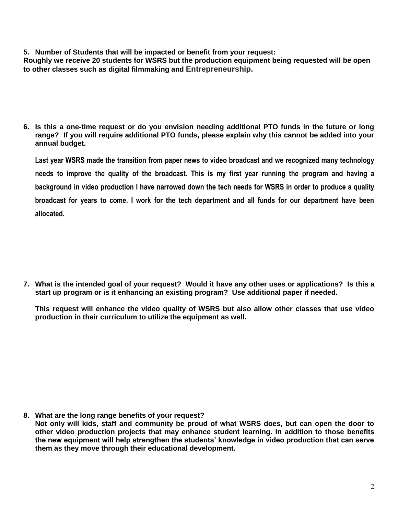**5. Number of Students that will be impacted or benefit from your request:**

**Roughly we receive 20 students for WSRS but the production equipment being requested will be open to other classes such as digital filmmaking and Entrepreneurship.**

**6. Is this a one-time request or do you envision needing additional PTO funds in the future or long range? If you will require additional PTO funds, please explain why this cannot be added into your annual budget.**

**Last year WSRS made the transition from paper news to video broadcast and we recognized many technology needs to improve the quality of the broadcast. This is my first year running the program and having a background in video production I have narrowed down the tech needs for WSRS in order to produce a quality broadcast for years to come. I work for the tech department and all funds for our department have been allocated.**

**7. What is the intended goal of your request? Would it have any other uses or applications? Is this a start up program or is it enhancing an existing program? Use additional paper if needed.**

**This request will enhance the video quality of WSRS but also allow other classes that use video production in their curriculum to utilize the equipment as well.** 

**8. What are the long range benefits of your request?**

**Not only will kids, staff and community be proud of what WSRS does, but can open the door to other video production projects that may enhance student learning. In addition to those benefits the new equipment will help strengthen the students' knowledge in video production that can serve them as they move through their educational development.**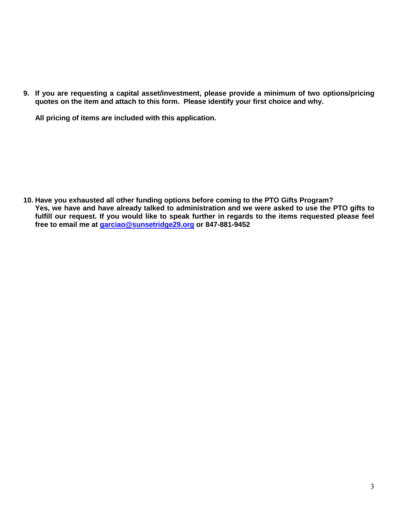**9. If you are requesting a capital asset/investment, please provide a minimum of two options/pricing quotes on the item and attach to this form. Please identify your first choice and why.**

**All pricing of items are included with this application.**

**10. Have you exhausted all other funding options before coming to the PTO Gifts Program? Yes, we have and have already talked to administration and we were asked to use the PTO gifts to fulfill our request. If you would like to speak further in regards to the items requested please feel free to email me at [garciao@sunsetridge29.org](mailto:garciao@sunsetridge29.org) or 847-881-9452**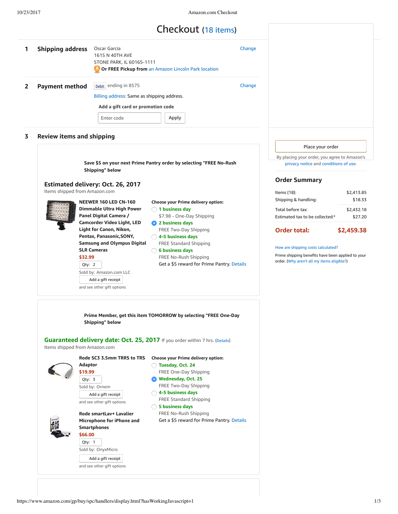# Checkout (18 items)

| 1 | <b>Shipping address</b> | Oscar Garcia<br>1615 N 40TH AVE<br>STONE PARK, IL 60165-1111<br>Or FREE Pickup from an Amazon Lincoln Park location | Change |
|---|-------------------------|---------------------------------------------------------------------------------------------------------------------|--------|
| 2 | <b>Payment method</b>   | Debit ending in 8575<br>Billing address: Same as shipping address.<br>Add a gift card or promotion code             | Change |
|   |                         | Apply<br>Enter code                                                                                                 |        |

# **3 Review items and shipping**

**Save \$5 on your next Prime Pantry order by selecting "FREE No-Rush Shipping" below**

#### **Estimated delivery: Oct. 26, 2017**

and see other gift options Add a gift [receipt](https://www.amazon.com/gp/buy/gift/handlers/display.html/ref=ox_spc_to_gift?ie=UTF8&fromAnywhere=0&itemId=miq%3A%2F%2Fdocument%3A1.0%2FOrdering%2Famazon%3A1.0%2FLineItem%3A1.0%2F24059f89-2c65-4dd1-a74a-b3a16d1f4ae7&showBackBar=1)

Items shipped from Amazon.com



**Q** 2 **ty:** Qty: 2 **Choose your Prime delivery option: NEEWER 160 LED CN-160 Dimmable Ultra High Power Panel Digital Camera / Camcorder Video Light, LED Light for Canon, Nikon, Pentax, Panasonic,SONY, Samsung and Olympus Digital SLR Cameras \$32.99** Sold by: Amazon.com LLC

**1 business day** \$7.98 - One-Day Shipping **2 business days** FREE Two-Day Shipping **4-5 business days** FREE Standard Shipping **6 business days** FREE No-Rush Shipping Get a \$5 reward for Prime Pantry. [Details](https://www.amazon.com/gp/shipoptions/promotions/details?ie=UTF8&nodeID=no-rush-five-dollars-pantry&pop-up=1&ref=ox_shipoption_promodetails) Place your order

By placing your order, you agree to Amazon's [privacy](https://www.amazon.com/gp/help/customer/display.html/ref=chk_help_privacytop_pri?ie=UTF8&nodeId=201909010) notice and [conditions](https://www.amazon.com/gp/help/customer/display.html/ref=chk_help_termstop_pri?ie=UTF8&nodeId=201909000) of use.

### **Order Summary**

| Items $(18)$ :                  | \$2,413.85 |
|---------------------------------|------------|
| Shipping & handling:            | \$18.33    |
| Total before tax:               | \$2,432.18 |
| Estimated tax to be collected:* | \$27.20    |
|                                 |            |

**Order total: \$2,459.38**

#### How are shipping costs [calculated?](https://www.amazon.com/gp/help/customer/display.html/ref=chk_help_shipcosts_pri?ie=UTF8&nodeId=468520)

Prime shipping benefits have been applied to your order. (Why aren't all my items [eligible?](https://www.amazon.com/gp/help/customer/display.html?ie=UTF8&nodeId=201118050))

**Prime Member, get this item TOMORROW by selecting "FREE One-Day Shipping" below**

**Guaranteed delivery date: Oct. 25, 2017** If you order within 7 hrs. ([Details](https://www.amazon.com/gp/help/customer/display.html/ref=chk_ship_ft_details_pri?ie=UTF8&nodeId=3510241))

Items shipped from Amazon.com

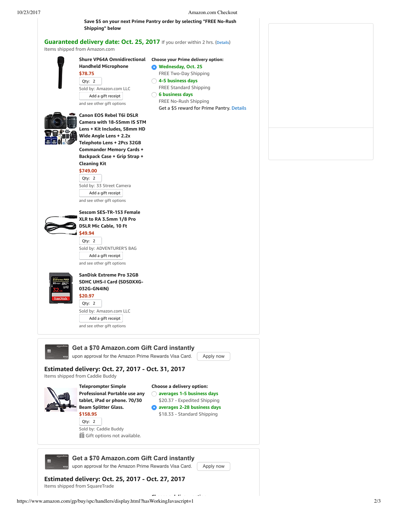**Save \$5 on your next Prime Pantry order by selecting "FREE No-Rush**